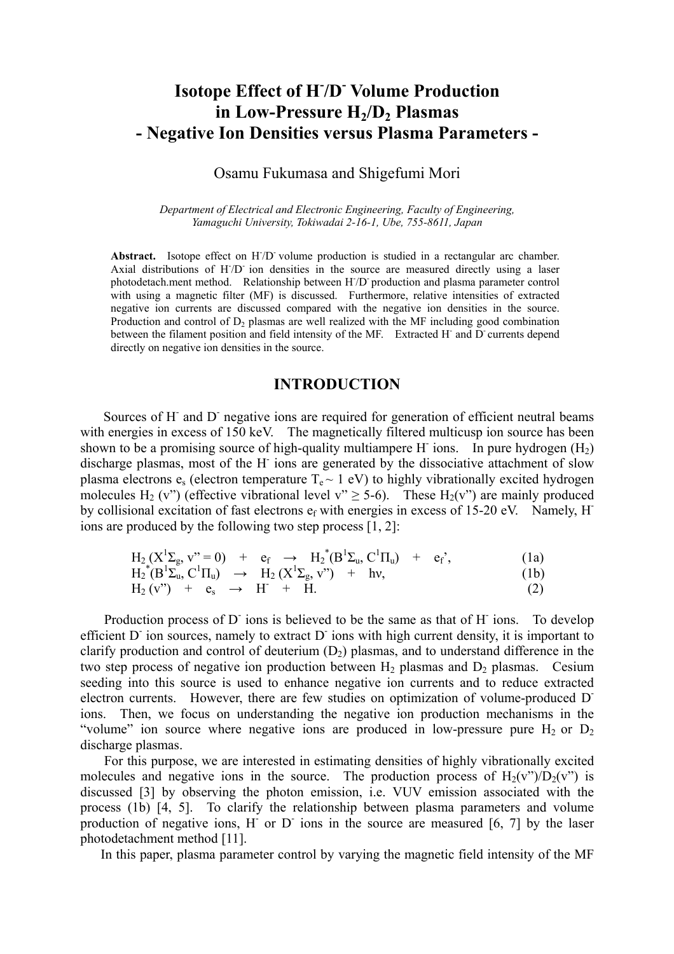# **Isotope Effect of H- /D- Volume Production**  in Low-Pressure  $H_2/D_2$  Plasmas **- Negative Ion Densities versus Plasma Parameters -**

## Osamu Fukumasa and Shigefumi Mori

*Department of Electrical and Electronic Engineering, Faculty of Engineering, Yamaguchi University, Tokiwadai 2-16-1, Ube, 755-8611, Japan* 

Abstract. Isotope effect on H<sub>/D</sub> volume production is studied in a rectangular arc chamber. Axial distributions of H/D ion densities in the source are measured directly using a laser photodetach.ment method. Relationship between H- /D- production and plasma parameter control with using a magnetic filter (MF) is discussed. Furthermore, relative intensities of extracted negative ion currents are discussed compared with the negative ion densities in the source. Production and control of  $D<sub>2</sub>$  plasmas are well realized with the MF including good combination between the filament position and field intensity of the MF. Extracted H and D currents depend directly on negative ion densities in the source.

## **INTRODUCTION**

Sources of H<sup>-</sup> and D<sup>-</sup> negative ions are required for generation of efficient neutral beams with energies in excess of 150 keV. The magnetically filtered multicusp ion source has been shown to be a promising source of high-quality multiampere H ions. In pure hydrogen  $(H_2)$ discharge plasmas, most of the H- ions are generated by the dissociative attachment of slow plasma electrons  $e_s$  (electron temperature  $T_e \sim 1$  eV) to highly vibrationally excited hydrogen molecules H<sub>2</sub> (v") (effective vibrational level v"  $\geq$  5-6). These H<sub>2</sub>(v") are mainly produced by collisional excitation of fast electrons ef with energies in excess of 15-20 eV. Namely, Hions are produced by the following two step process [1, 2]:

$$
H_2(X^1\Sigma_g, v^* = 0) + e_f \rightarrow H_2^*(B^1\Sigma_u, C^1\Pi_u) + e_f^*,
$$
\n(1a)  
\n
$$
H_2^*(B^1\Sigma_u, C^1\Pi_u) \rightarrow H_2(X^1\Sigma_g, v^*) + hv,
$$
\n(1b)  
\n
$$
H_2(v^*) + e_s \rightarrow H^* + H.
$$
\n(2)

Production process of D ions is believed to be the same as that of H ions. To develop efficient D<sup>-</sup> ion sources, namely to extract D<sup>-</sup> ions with high current density, it is important to clarify production and control of deuterium  $(D_2)$  plasmas, and to understand difference in the two step process of negative ion production between  $H_2$  plasmas and  $D_2$  plasmas. Cesium seeding into this source is used to enhance negative ion currents and to reduce extracted electron currents. However, there are few studies on optimization of volume-produced Dions. Then, we focus on understanding the negative ion production mechanisms in the "volume" ion source where negative ions are produced in low-pressure pure  $H_2$  or  $D_2$ discharge plasmas.

For this purpose, we are interested in estimating densities of highly vibrationally excited molecules and negative ions in the source. The production process of  $H_2(v^{\prime\prime})/D_2(v^{\prime\prime})$  is discussed [3] by observing the photon emission, i.e. VUV emission associated with the process (1b) [4, 5]. To clarify the relationship between plasma parameters and volume production of negative ions,  $H^{\dagger}$  or  $D^{\dagger}$  ions in the source are measured [6, 7] by the laser photodetachment method [11].

In this paper, plasma parameter control by varying the magnetic field intensity of the MF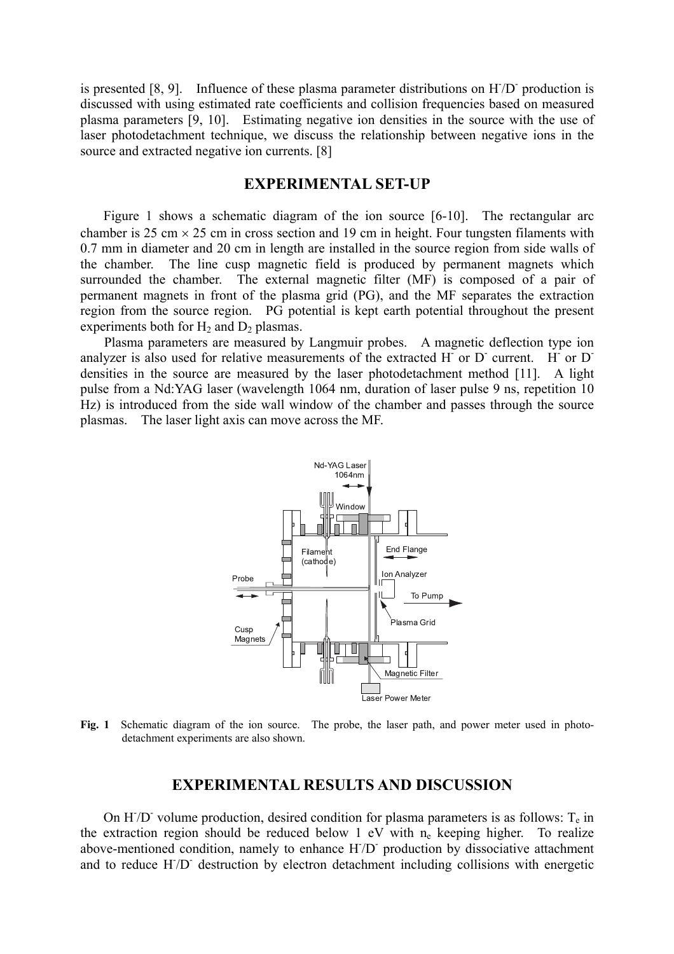is presented  $[8, 9]$ . Influence of these plasma parameter distributions on  $H/D$  production is discussed with using estimated rate coefficients and collision frequencies based on measured plasma parameters [9, 10]. Estimating negative ion densities in the source with the use of laser photodetachment technique, we discuss the relationship between negative ions in the source and extracted negative ion currents. [8]

## **EXPERIMENTAL SET-UP**

Figure 1 shows a schematic diagram of the ion source [6-10]. The rectangular arc chamber is 25 cm  $\times$  25 cm in cross section and 19 cm in height. Four tungsten filaments with 0.7 mm in diameter and 20 cm in length are installed in the source region from side walls of the chamber. The line cusp magnetic field is produced by permanent magnets which surrounded the chamber. The external magnetic filter (MF) is composed of a pair of permanent magnets in front of the plasma grid (PG), and the MF separates the extraction region from the source region. PG potential is kept earth potential throughout the present experiments both for  $H_2$  and  $D_2$  plasmas.

Plasma parameters are measured by Langmuir probes. A magnetic deflection type ion analyzer is also used for relative measurements of the extracted  $H$  or  $D$  current.  $H$  or  $D$ densities in the source are measured by the laser photodetachment method [11]. A light pulse from a Nd:YAG laser (wavelength 1064 nm, duration of laser pulse 9 ns, repetition 10 Hz) is introduced from the side wall window of the chamber and passes through the source plasmas. The laser light axis can move across the MF.



**Fig. 1** Schematic diagram of the ion source. The probe, the laser path, and power meter used in photodetachment experiments are also shown.

### **EXPERIMENTAL RESULTS AND DISCUSSION**

On H $/D$  volume production, desired condition for plasma parameters is as follows:  $T_e$  in the extraction region should be reduced below 1 eV with  $n_e$  keeping higher. To realize above-mentioned condition, namely to enhance H/D production by dissociative attachment and to reduce H/D<sup>-</sup> destruction by electron detachment including collisions with energetic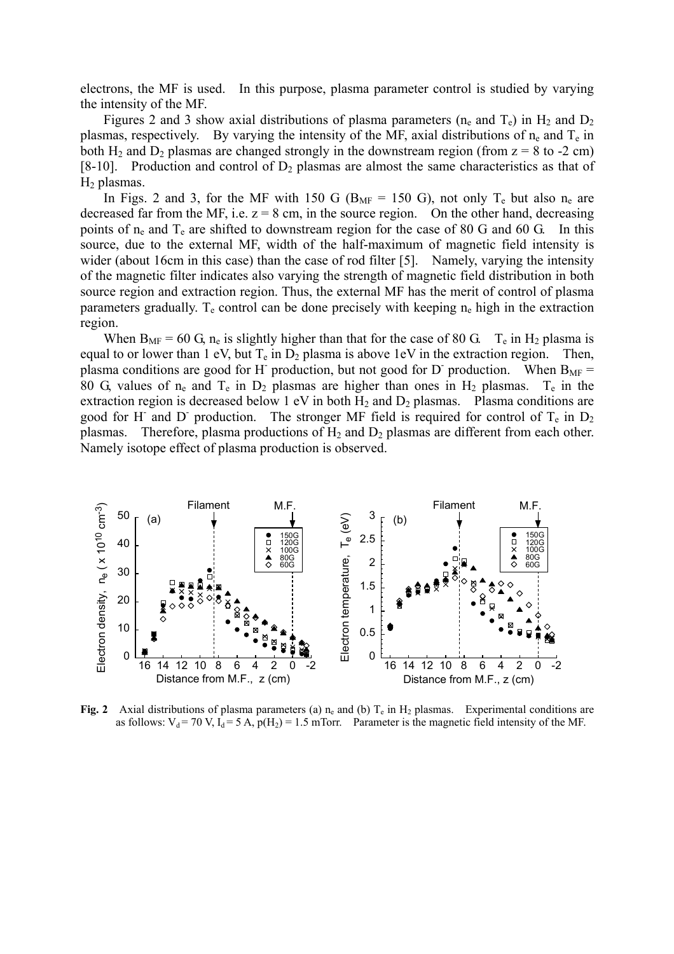electrons, the MF is used. In this purpose, plasma parameter control is studied by varying the intensity of the MF.

Figures 2 and 3 show axial distributions of plasma parameters ( $n_e$  and  $T_e$ ) in  $H_2$  and  $D_2$ plasmas, respectively. By varying the intensity of the MF, axial distributions of  $n_e$  and  $T_e$  in both H<sub>2</sub> and D<sub>2</sub> plasmas are changed strongly in the downstream region (from  $z = 8$  to -2 cm) [8-10]. Production and control of  $D_2$  plasmas are almost the same characteristics as that of  $H<sub>2</sub>$  plasmas.

In Figs. 2 and 3, for the MF with 150 G ( $B_{MF}$  = 150 G), not only  $T_e$  but also  $n_e$  are decreased far from the MF, i.e.  $z = 8$  cm, in the source region. On the other hand, decreasing points of  $n_e$  and  $T_e$  are shifted to downstream region for the case of 80 G and 60 G. In this source, due to the external MF, width of the half-maximum of magnetic field intensity is wider (about 16cm in this case) than the case of rod filter [5]. Namely, varying the intensity of the magnetic filter indicates also varying the strength of magnetic field distribution in both source region and extraction region. Thus, the external MF has the merit of control of plasma parameters gradually.  $T_e$  control can be done precisely with keeping  $n_e$  high in the extraction region.

When  $B_{MF} = 60$  G,  $n_e$  is slightly higher than that for the case of 80 G.  $T_e$  in H<sub>2</sub> plasma is equal to or lower than 1 eV, but  $T_e$  in  $D_2$  plasma is above 1eV in the extraction region. Then, plasma conditions are good for H production, but not good for D production. When  $B_{MF}$  = 80 G, values of  $n_e$  and  $T_e$  in  $D_2$  plasmas are higher than ones in  $H_2$  plasmas.  $T_e$  in the extraction region is decreased below 1 eV in both  $H_2$  and  $D_2$  plasmas. Plasma conditions are good for H and D production. The stronger MF field is required for control of  $T_e$  in  $D_2$ plasmas. Therefore, plasma productions of  $H_2$  and  $D_2$  plasmas are different from each other. Namely isotope effect of plasma production is observed.



**Fig. 2** Axial distributions of plasma parameters (a)  $n_e$  and (b)  $T_e$  in H<sub>2</sub> plasmas. Experimental conditions are as follows:  $V_d = 70 V$ ,  $I_d = 5 A$ ,  $p(H_2) = 1.5$  mTorr. Parameter is the magnetic field intensity of the MF.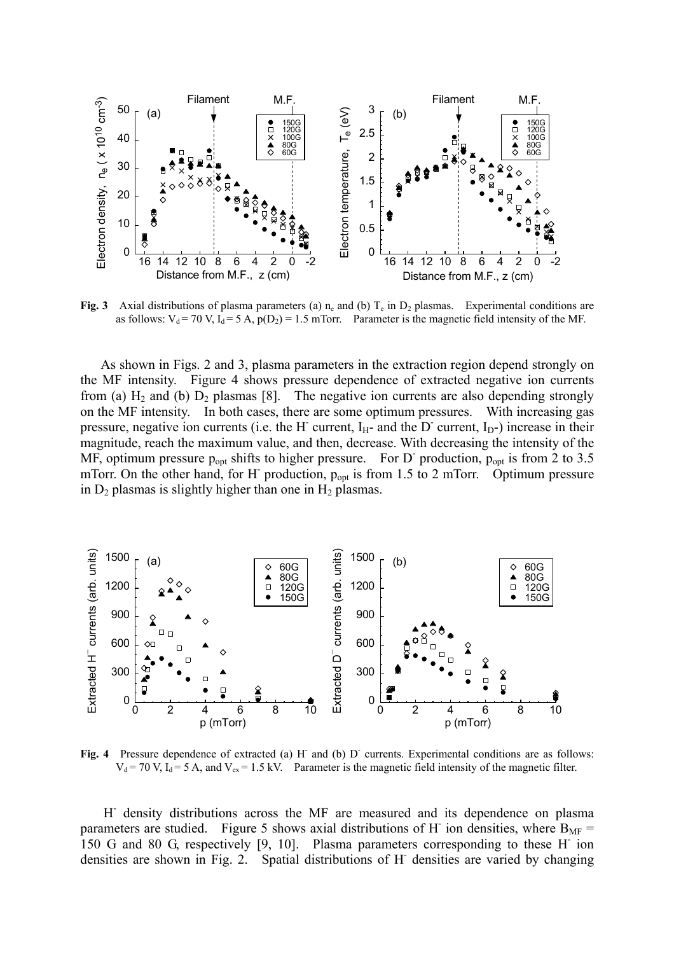

**Fig. 3** Axial distributions of plasma parameters (a)  $n_e$  and (b)  $T_e$  in  $D_2$  plasmas. Experimental conditions are as follows:  $V_d = 70$  V,  $I_d = 5$  A,  $p(D_2) = 1.5$  mTorr. Parameter is the magnetic field intensity of the MF.

As shown in Figs. 2 and 3, plasma parameters in the extraction region depend strongly on the MF intensity. Figure 4 shows pressure dependence of extracted negative ion currents from (a)  $H_2$  and (b)  $D_2$  plasmas [8]. The negative ion currents are also depending strongly on the MF intensity. In both cases, there are some optimum pressures. With increasing gas pressure, negative ion currents (i.e. the H- current,  $I_H$ - and the D- current,  $I_D$ -) increase in their magnitude, reach the maximum value, and then, decrease. With decreasing the intensity of the MF, optimum pressure  $p_{opt}$  shifts to higher pressure. For D production,  $p_{opt}$  is from 2 to 3.5 mTorr. On the other hand, for H- production, p<sub>opt</sub> is from 1.5 to 2 mTorr. Optimum pressure in  $D_2$  plasmas is slightly higher than one in  $H_2$  plasmas.



Fig. 4 Pressure dependence of extracted (a) H and (b) D currents. Experimental conditions are as follows:  $V_d$  = 70 V, I<sub>d</sub> = 5 A, and V<sub>ex</sub> = 1.5 kV. Parameter is the magnetic field intensity of the magnetic filter.

H- density distributions across the MF are measured and its dependence on plasma parameters are studied. Figure 5 shows axial distributions of H ion densities, where  $B_{MF}$  = 150 G and 80 G, respectively [9, 10]. Plasma parameters corresponding to these H- ion densities are shown in Fig. 2. Spatial distributions of H- densities are varied by changing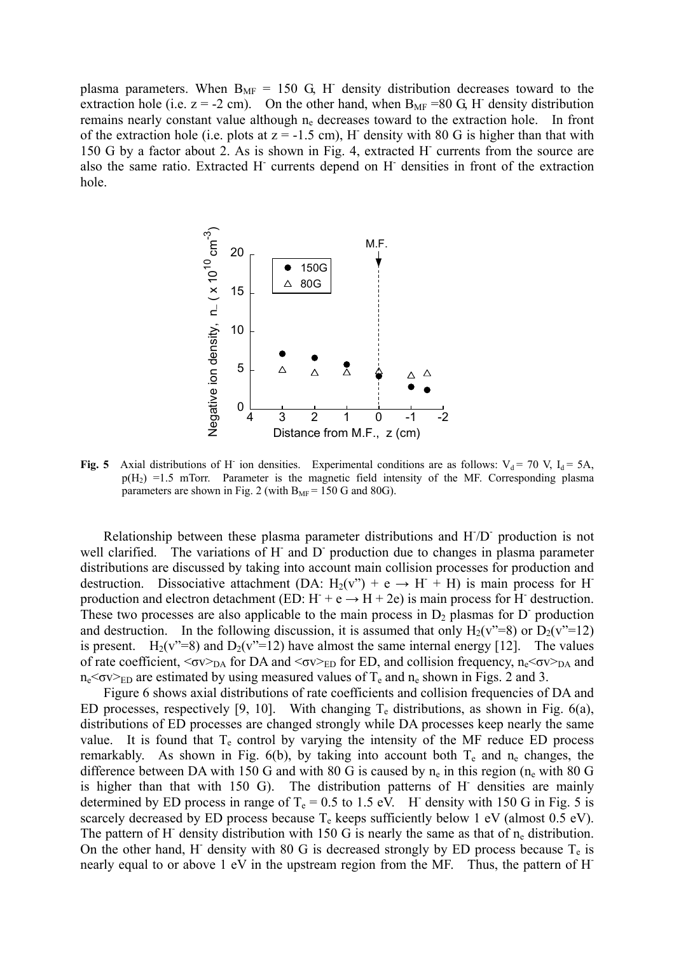plasma parameters. When  $B_{MF} = 150$  G, H<sup>-</sup> density distribution decreases toward to the extraction hole (i.e.  $z = -2$  cm). On the other hand, when  $B_{MF} = 80$  G, H<sup>-</sup> density distribution remains nearly constant value although  $n_e$  decreases toward to the extraction hole. In front of the extraction hole (i.e. plots at  $z = -1.5$  cm), H density with 80 G is higher than that with 150 G by a factor about 2. As is shown in Fig. 4, extracted H- currents from the source are also the same ratio. Extracted H<sup>-</sup> currents depend on H<sup>-</sup> densities in front of the extraction hole.



Fig. 5 Axial distributions of H<sup>-</sup> ion densities. Experimental conditions are as follows:  $V_d = 70$  V,  $I_d = 5A$ ,  $p(H_2)$  =1.5 mTorr. Parameter is the magnetic field intensity of the MF. Corresponding plasma parameters are shown in Fig. 2 (with  $B_{MF} = 150$  G and 80G).

Relationship between these plasma parameter distributions and H/D production is not well clarified. The variations of H and D production due to changes in plasma parameter distributions are discussed by taking into account main collision processes for production and destruction. Dissociative attachment (DA:  $H_2(v^{\prime\prime}) + e \rightarrow H^+ + H$ ) is main process for H production and electron detachment (ED:  $H + e \rightarrow H + 2e$ ) is main process for H destruction. These two processes are also applicable to the main process in  $D_2$  plasmas for D production and destruction. In the following discussion, it is assumed that only  $H_2(v^* = 8)$  or  $D_2(v^* = 12)$ is present. H<sub>2</sub>(v"=8) and D<sub>2</sub>(v"=12) have almost the same internal energy [12]. The values of rate coefficient,  $\langle \sigma v \rangle_{DA}$  for DA and  $\langle \sigma v \rangle_{ED}$  for ED, and collision frequency, n<sub>e</sub> $\langle \sigma v \rangle_{DA}$  and  $n_e$ < $\sigma$ v $>$ <sub>ED</sub> are estimated by using measured values of T<sub>e</sub> and  $n_e$  shown in Figs. 2 and 3.

Figure 6 shows axial distributions of rate coefficients and collision frequencies of DA and ED processes, respectively [9, 10]. With changing  $T_e$  distributions, as shown in Fig. 6(a), distributions of ED processes are changed strongly while DA processes keep nearly the same value. It is found that  $T_e$  control by varying the intensity of the MF reduce ED process remarkably. As shown in Fig.  $6(b)$ , by taking into account both  $T_e$  and  $n_e$  changes, the difference between DA with 150 G and with 80 G is caused by  $n_e$  in this region ( $n_e$  with 80 G is higher than that with 150 G). The distribution patterns of H densities are mainly determined by ED process in range of  $T_e = 0.5$  to 1.5 eV. H density with 150 G in Fig. 5 is scarcely decreased by ED process because  $T_e$  keeps sufficiently below 1 eV (almost 0.5 eV). The pattern of H<sup>-</sup> density distribution with 150 G is nearly the same as that of  $n_e$  distribution. On the other hand, H<sup>-</sup> density with 80 G is decreased strongly by ED process because  $T_e$  is nearly equal to or above 1 eV in the upstream region from the MF. Thus, the pattern of H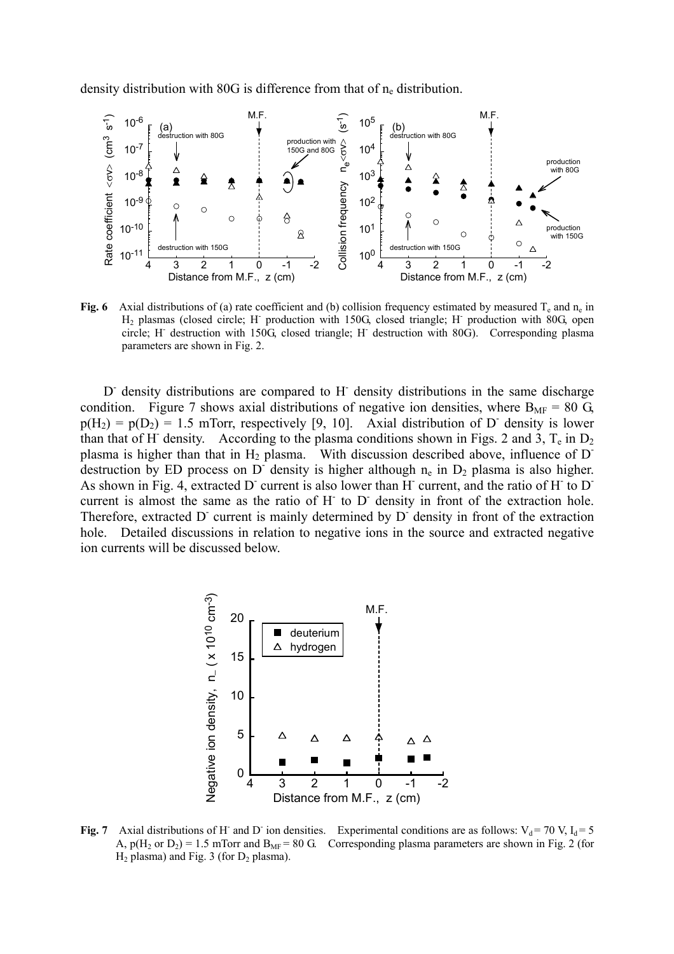density distribution with 80G is difference from that of  $n_e$  distribution.



**Fig. 6** Axial distributions of (a) rate coefficient and (b) collision frequency estimated by measured  $T_e$  and  $n_e$  in H<sub>2</sub> plasmas (closed circle; H<sup>-</sup> production with 150G, closed triangle; H<sup>-</sup> production with 80G, open circle; H- destruction with 150G, closed triangle; H- destruction with 80G). Corresponding plasma parameters are shown in Fig. 2.

D<sup>-</sup> density distributions are compared to H<sup>-</sup> density distributions in the same discharge condition. Figure 7 shows axial distributions of negative ion densities, where  $B_{MF} = 80 \text{ G}$ ,  $p(H_2) = p(D_2) = 1.5$  mTorr, respectively [9, 10]. Axial distribution of D density is lower than that of H<sup>-</sup> density. According to the plasma conditions shown in Figs. 2 and 3,  $T_e$  in  $D_2$ plasma is higher than that in  $H_2$  plasma. With discussion described above, influence of D<sup>-</sup> destruction by ED process on D density is higher although  $n_e$  in  $D_2$  plasma is also higher. As shown in Fig. 4, extracted D current is also lower than H current, and the ratio of H to D current is almost the same as the ratio of H<sup>-</sup> to D<sup>-</sup> density in front of the extraction hole. Therefore, extracted D current is mainly determined by D density in front of the extraction hole. Detailed discussions in relation to negative ions in the source and extracted negative ion currents will be discussed below.



Fig. 7 Axial distributions of H<sup>-</sup> and D<sup>-</sup> ion densities. Experimental conditions are as follows:  $V_d = 70 V$ ,  $I_d = 5$ A,  $p(H_2 \text{ or } D_2) = 1.5 \text{ mTorr}$  and  $B_{MF} = 80 \text{ G}$ . Corresponding plasma parameters are shown in Fig. 2 (for  $H_2$  plasma) and Fig. 3 (for  $D_2$  plasma).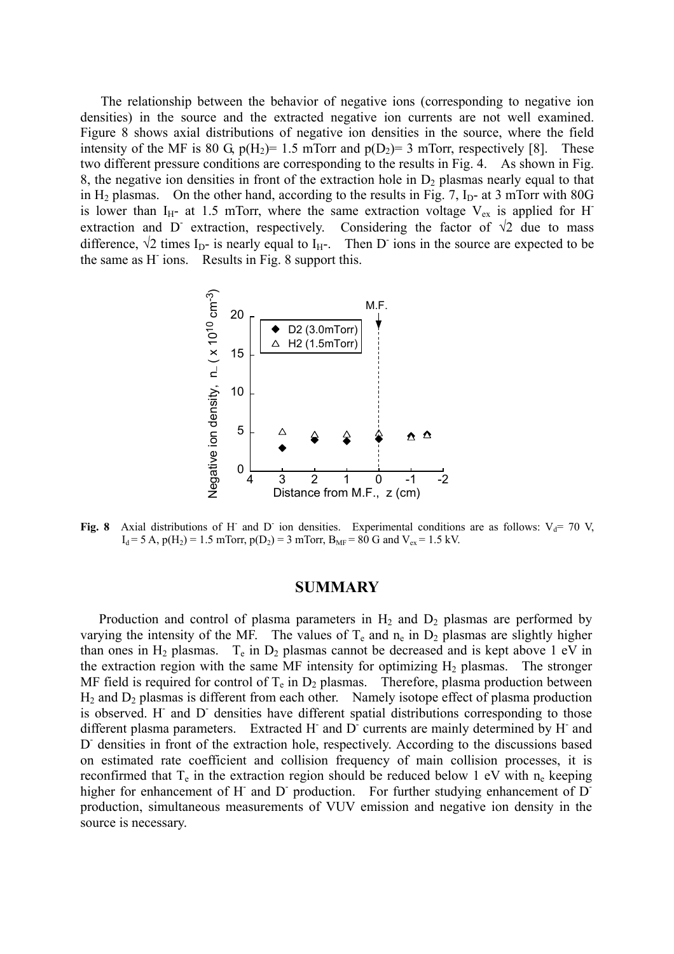The relationship between the behavior of negative ions (corresponding to negative ion densities) in the source and the extracted negative ion currents are not well examined. Figure 8 shows axial distributions of negative ion densities in the source, where the field intensity of the MF is 80 G,  $p(H_2)= 1.5$  mTorr and  $p(D_2)= 3$  mTorr, respectively [8]. These two different pressure conditions are corresponding to the results in Fig. 4. As shown in Fig. 8, the negative ion densities in front of the extraction hole in  $D_2$  plasmas nearly equal to that in  $H_2$  plasmas. On the other hand, according to the results in Fig. 7,  $I_D$ - at 3 mTorr with 80G is lower than I<sub>H</sub>- at 1.5 mTorr, where the same extraction voltage  $V_{ex}$  is applied for H<sup>-</sup> extraction and D extraction, respectively. Considering the factor of  $\sqrt{2}$  due to mass difference,  $\sqrt{2}$  times I<sub>D</sub>- is nearly equal to I<sub>H</sub>-. Then D<sup>-</sup> ions in the source are expected to be the same as H- ions. Results in Fig. 8 support this.



Fig. 8 Axial distributions of H<sup>-</sup> and D<sup>-</sup> ion densities. Experimental conditions are as follows:  $V_d$ = 70 V,  $I_d = 5$  A,  $p(H_2) = 1.5$  mTorr,  $p(D_2) = 3$  mTorr,  $B_{MF} = 80$  G and  $V_{ex} = 1.5$  kV.

### **SUMMARY**

Production and control of plasma parameters in  $H_2$  and  $D_2$  plasmas are performed by varying the intensity of the MF. The values of  $T_e$  and  $n_e$  in  $D_2$  plasmas are slightly higher than ones in  $H_2$  plasmas.  $T_e$  in  $D_2$  plasmas cannot be decreased and is kept above 1 eV in the extraction region with the same MF intensity for optimizing  $H_2$  plasmas. The stronger MF field is required for control of  $T_e$  in  $D_2$  plasmas. Therefore, plasma production between  $H_2$  and  $D_2$  plasmas is different from each other. Namely isotope effect of plasma production is observed. H and D densities have different spatial distributions corresponding to those different plasma parameters. Extracted H and D currents are mainly determined by H and D<sup>-</sup> densities in front of the extraction hole, respectively. According to the discussions based on estimated rate coefficient and collision frequency of main collision processes, it is reconfirmed that  $T_e$  in the extraction region should be reduced below 1 eV with  $n_e$  keeping higher for enhancement of H and D production. For further studying enhancement of D production, simultaneous measurements of VUV emission and negative ion density in the source is necessary.